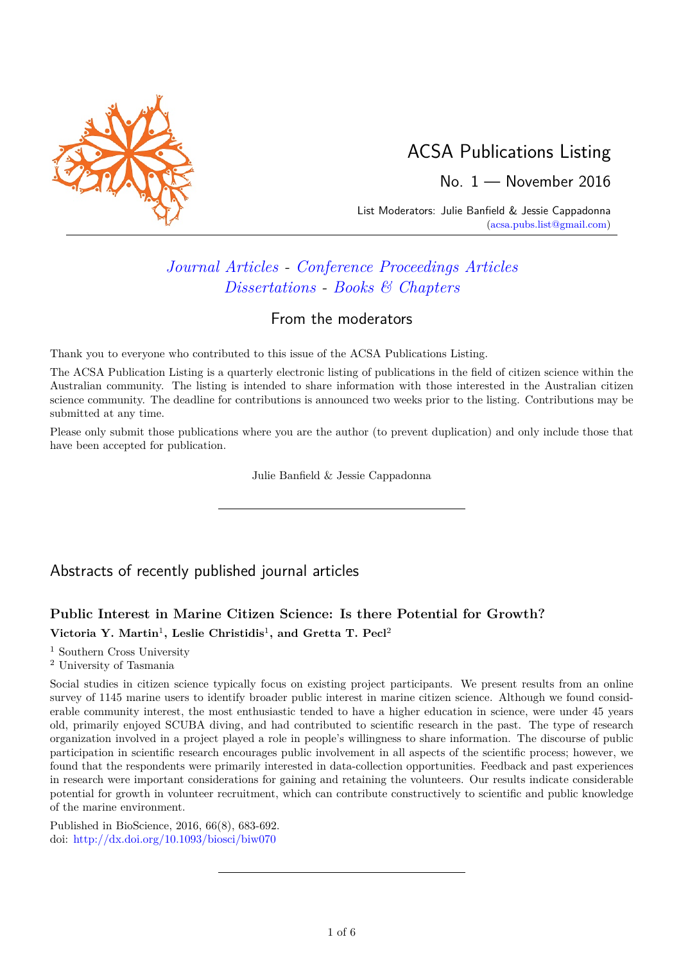

# ACSA Publications Listing

No. 1 — November 2016

List Moderators: Julie Banfield & Jessie Cappadonna [\(acsa.pubs.list@gmail.com\)](mailto:acsa.pubs.list@gmail.com)

# *[Journal Articles](#page-0-0) - [Conference Proceedings Articles](#page-3-0) [Dissertations](#page-3-1) - [Books & Chapters](#page-4-0)*

### From the moderators

Thank you to everyone who contributed to this issue of the ACSA Publications Listing.

The ACSA Publication Listing is a quarterly electronic listing of publications in the field of citizen science within the Australian community. The listing is intended to share information with those interested in the Australian citizen science community. The deadline for contributions is announced two weeks prior to the listing. Contributions may be submitted at any time.

Please only submit those publications where you are the author (to prevent duplication) and only include those that have been accepted for publication.

Julie Banfield & Jessie Cappadonna

# <span id="page-0-0"></span>Abstracts of recently published journal articles

## **Public Interest in Marine Citizen Science: Is there Potential for Growth?**  $\text{Victoria Y. Martin}^1$ , Leslie Christidis<sup>1</sup>, and Gretta T. Pecl<sup>2</sup>

<sup>1</sup> Southern Cross University

<sup>2</sup> University of Tasmania

Social studies in citizen science typically focus on existing project participants. We present results from an online survey of 1145 marine users to identify broader public interest in marine citizen science. Although we found considerable community interest, the most enthusiastic tended to have a higher education in science, were under 45 years old, primarily enjoyed SCUBA diving, and had contributed to scientific research in the past. The type of research organization involved in a project played a role in people's willingness to share information. The discourse of public participation in scientific research encourages public involvement in all aspects of the scientific process; however, we found that the respondents were primarily interested in data-collection opportunities. Feedback and past experiences in research were important considerations for gaining and retaining the volunteers. Our results indicate considerable potential for growth in volunteer recruitment, which can contribute constructively to scientific and public knowledge of the marine environment.

Published in BioScience, 2016, 66(8), 683-692. doi: <http://dx.doi.org/10.1093/biosci/biw070>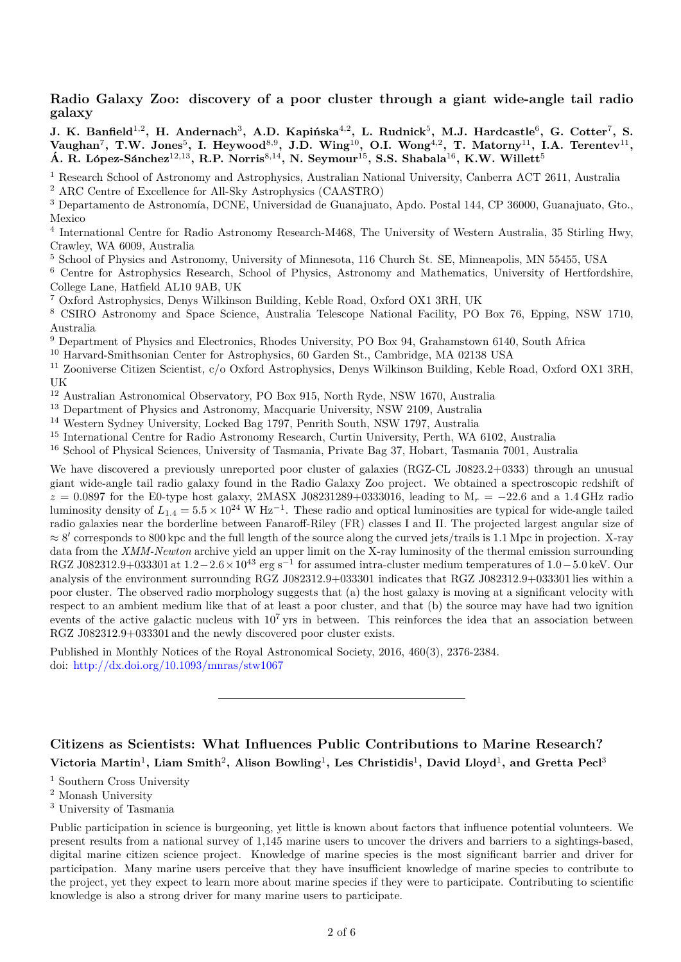**Radio Galaxy Zoo: discovery of a poor cluster through a giant wide-angle tail radio galaxy**

 $\mathbf{J. K. Banfield}^{1,2}, \text{ H. Andernach}^{3}, \text{ A.D. Kapińska}^{4,2}, \text{ L. Rudnick}^{5}, \text{ M.J. Hardcastle}^{6}, \text{ G. Cotter}^{7}, \text{ S.}$  $V_1$   $\{W_1, W_2, \ldots, W_n\}$   $\{W_2, W_3, W_4, W_5, W_6, W_7\}$   $\{W_1, W_2, W_3, W_4, W_5, W_7\}$   $\{W_1, W_2, W_4, W_5, W_6, W_7\}$   $\{W_1, W_2, W_3, W_4, W_5, W_6, W_7\}$ **A. R. L ´ ´opez-S´anchez**<sup>12</sup>*,*<sup>13</sup>**, R.P. Norris**<sup>8</sup>*,*<sup>14</sup>**, N. Seymour**<sup>15</sup>**, S.S. Shabala**<sup>16</sup>**, K.W. Willett**<sup>5</sup>

<sup>1</sup> Research School of Astronomy and Astrophysics, Australian National University, Canberra ACT 2611, Australia <sup>2</sup> ARC Centre of Excellence for All-Sky Astrophysics (CAASTRO)

<sup>3</sup> Departamento de Astronomía, DCNE, Universidad de Guanajuato, Apdo. Postal 144, CP 36000, Guanajuato, Gto., Mexico

<sup>4</sup> International Centre for Radio Astronomy Research-M468, The University of Western Australia, 35 Stirling Hwy, Crawley, WA 6009, Australia

<sup>5</sup> School of Physics and Astronomy, University of Minnesota, 116 Church St. SE, Minneapolis, MN 55455, USA

<sup>6</sup> Centre for Astrophysics Research, School of Physics, Astronomy and Mathematics, University of Hertfordshire, College Lane, Hatfield AL10 9AB, UK

<sup>7</sup> Oxford Astrophysics, Denys Wilkinson Building, Keble Road, Oxford OX1 3RH, UK

<sup>8</sup> CSIRO Astronomy and Space Science, Australia Telescope National Facility, PO Box 76, Epping, NSW 1710, Australia

<sup>9</sup> Department of Physics and Electronics, Rhodes University, PO Box 94, Grahamstown 6140, South Africa

<sup>10</sup> Harvard-Smithsonian Center for Astrophysics, 60 Garden St., Cambridge, MA 02138 USA

<sup>11</sup> Zooniverse Citizen Scientist, c/o Oxford Astrophysics, Denys Wilkinson Building, Keble Road, Oxford OX1 3RH, UK

<sup>12</sup> Australian Astronomical Observatory, PO Box 915, North Ryde, NSW 1670, Australia

<sup>13</sup> Department of Physics and Astronomy, Macquarie University, NSW 2109, Australia

<sup>14</sup> Western Sydney University, Locked Bag 1797, Penrith South, NSW 1797, Australia

<sup>15</sup> International Centre for Radio Astronomy Research, Curtin University, Perth, WA 6102, Australia

<sup>16</sup> School of Physical Sciences, University of Tasmania, Private Bag 37, Hobart, Tasmania 7001, Australia

We have discovered a previously unreported poor cluster of galaxies (RGZ-CL J0823.2+0333) through an unusual giant wide-angle tail radio galaxy found in the Radio Galaxy Zoo project. We obtained a spectroscopic redshift of *z* = 0.0897 for the E0-type host galaxy, 2MASX J08231289+0333016, leading to M<sub>*r*</sub> = −22.6 and a 1.4 GHz radio luminosity density of  $L_{1.4} = 5.5 \times 10^{24} \text{ W Hz}^{-1}$ . These radio and optical luminosities are typical for wide-angle tailed radio galaxies near the borderline between Fanaroff-Riley (FR) classes I and II. The projected largest angular size of ≈ 8 0 corresponds to 800 kpc and the full length of the source along the curved jets/trails is 1*.*1 Mpc in projection. X-ray data from the *XMM-Newton* archive yield an upper limit on the X-ray luminosity of the thermal emission surrounding RGZ J082312.9+033301 at 1.2−2.6×10<sup>43</sup> erg s<sup>-1</sup> for assumed intra-cluster medium temperatures of 1.0−5.0 keV. Our analysis of the environment surrounding RGZ J082312.9+033301 indicates that RGZ J082312.9+033301 lies within a poor cluster. The observed radio morphology suggests that (a) the host galaxy is moving at a significant velocity with respect to an ambient medium like that of at least a poor cluster, and that (b) the source may have had two ignition events of the active galactic nucleus with  $10^7$  yrs in between. This reinforces the idea that an association between RGZ J082312.9+033301 and the newly discovered poor cluster exists.

Published in Monthly Notices of the Royal Astronomical Society, 2016, 460(3), 2376-2384. doi: <http://dx.doi.org/10.1093/mnras/stw1067>

### **Citizens as Scientists: What Influences Public Contributions to Marine Research?**  $V$ ictoria Martin<sup>1</sup>, Liam Smith<sup>2</sup>, Alison Bowling<sup>1</sup>, Les Christidis<sup>1</sup>, David Lloyd<sup>1</sup>, and Gretta Pecl<sup>3</sup>

<sup>1</sup> Southern Cross University

<sup>2</sup> Monash University

<sup>3</sup> University of Tasmania

Public participation in science is burgeoning, yet little is known about factors that influence potential volunteers. We present results from a national survey of 1,145 marine users to uncover the drivers and barriers to a sightings-based, digital marine citizen science project. Knowledge of marine species is the most significant barrier and driver for participation. Many marine users perceive that they have insufficient knowledge of marine species to contribute to the project, yet they expect to learn more about marine species if they were to participate. Contributing to scientific knowledge is also a strong driver for many marine users to participate.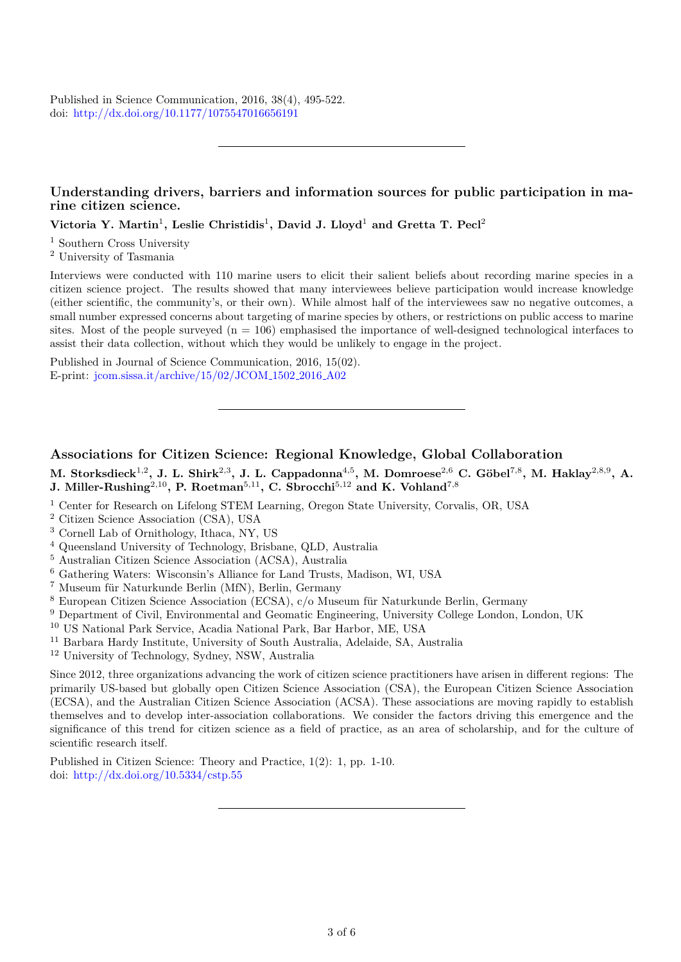Published in Science Communication, 2016, 38(4), 495-522. doi: <http://dx.doi.org/10.1177/1075547016656191>

#### **Understanding drivers, barriers and information sources for public participation in marine citizen science.**

**Victoria Y. Martin**<sup>1</sup> **, Leslie Christidis**<sup>1</sup> **, David J. Lloyd**<sup>1</sup> **and Gretta T. Pecl**<sup>2</sup>

<sup>1</sup> Southern Cross University

<sup>2</sup> University of Tasmania

Interviews were conducted with 110 marine users to elicit their salient beliefs about recording marine species in a citizen science project. The results showed that many interviewees believe participation would increase knowledge (either scientific, the community's, or their own). While almost half of the interviewees saw no negative outcomes, a small number expressed concerns about targeting of marine species by others, or restrictions on public access to marine sites. Most of the people surveyed  $(n = 106)$  emphasised the importance of well-designed technological interfaces to assist their data collection, without which they would be unlikely to engage in the project.

Published in Journal of Science Communication, 2016, 15(02). E-print: [jcom.sissa.it/archive/15/02/JCOM](https://jcom.sissa.it/archive/15/02/JCOM_1502_2016_A02) 1502 2016 A02

#### **Associations for Citizen Science: Regional Knowledge, Global Collaboration**

**M. Storksdieck**1*,*<sup>2</sup> **, J. L. Shirk**2*,*<sup>3</sup> **, J. L. Cappadonna**4*,*<sup>5</sup> **, M. Domroese**2*,*<sup>6</sup> **C. G¨obel**<sup>7</sup>*,*<sup>8</sup> **, M. Haklay**2*,*8*,*<sup>9</sup> **, A. J. Miller-Rushing**2*,*10**, P. Roetman**5*,*11**, C. Sbrocchi**5*,*<sup>12</sup> **and K. Vohland**7*,*<sup>8</sup>

- <sup>1</sup> Center for Research on Lifelong STEM Learning, Oregon State University, Corvalis, OR, USA
- <sup>2</sup> Citizen Science Association (CSA), USA
- <sup>3</sup> Cornell Lab of Ornithology, Ithaca, NY, US
- <sup>4</sup> Queensland University of Technology, Brisbane, QLD, Australia
- <sup>5</sup> Australian Citizen Science Association (ACSA), Australia
- <sup>6</sup> Gathering Waters: Wisconsin's Alliance for Land Trusts, Madison, WI, USA
- $7$  Museum für Naturkunde Berlin (MfN), Berlin, Germany
- $8$  European Citizen Science Association (ECSA),  $c/o$  Museum für Naturkunde Berlin, Germany
- <sup>9</sup> Department of Civil, Environmental and Geomatic Engineering, University College London, London, UK
- <sup>10</sup> US National Park Service, Acadia National Park, Bar Harbor, ME, USA
- <sup>11</sup> Barbara Hardy Institute, University of South Australia, Adelaide, SA, Australia
- <sup>12</sup> University of Technology, Sydney, NSW, Australia

Since 2012, three organizations advancing the work of citizen science practitioners have arisen in different regions: The primarily US-based but globally open Citizen Science Association (CSA), the European Citizen Science Association (ECSA), and the Australian Citizen Science Association (ACSA). These associations are moving rapidly to establish themselves and to develop inter-association collaborations. We consider the factors driving this emergence and the significance of this trend for citizen science as a field of practice, as an area of scholarship, and for the culture of scientific research itself.

Published in Citizen Science: Theory and Practice, 1(2): 1, pp. 1-10. doi: <http://dx.doi.org/10.5334/cstp.55>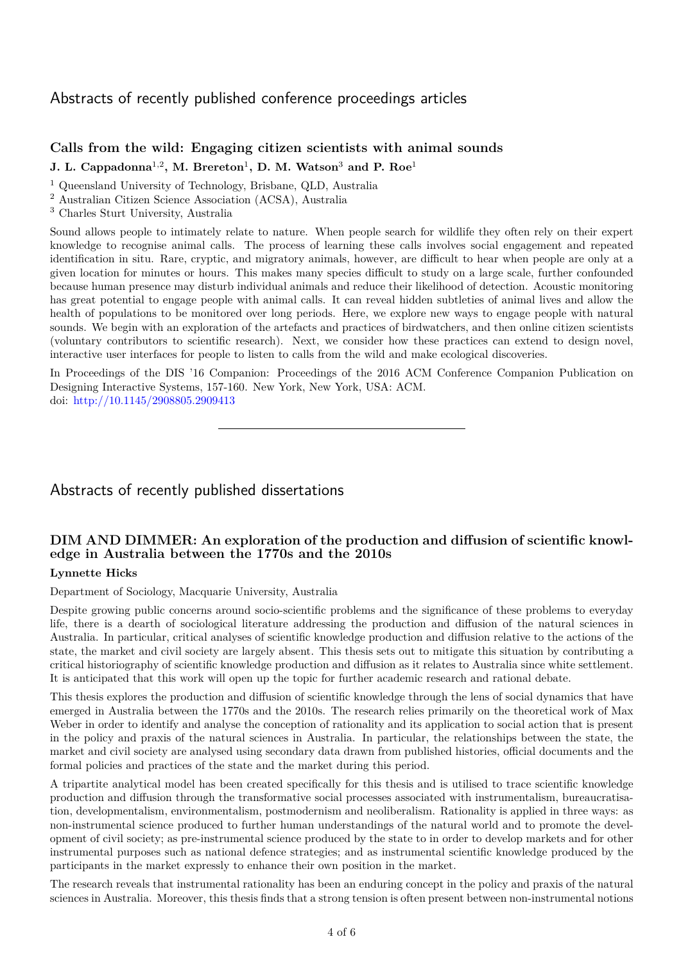### <span id="page-3-0"></span>Abstracts of recently published conference proceedings articles

#### **Calls from the wild: Engaging citizen scientists with animal sounds**

**J. L. Cappadonna**<sup>1</sup>*,*<sup>2</sup> **, M. Brereton**<sup>1</sup> **, D. M. Watson**<sup>3</sup> **and P. Roe**<sup>1</sup>

<sup>1</sup> Queensland University of Technology, Brisbane, QLD, Australia

<sup>2</sup> Australian Citizen Science Association (ACSA), Australia

<sup>3</sup> Charles Sturt University, Australia

Sound allows people to intimately relate to nature. When people search for wildlife they often rely on their expert knowledge to recognise animal calls. The process of learning these calls involves social engagement and repeated identification in situ. Rare, cryptic, and migratory animals, however, are difficult to hear when people are only at a given location for minutes or hours. This makes many species difficult to study on a large scale, further confounded because human presence may disturb individual animals and reduce their likelihood of detection. Acoustic monitoring has great potential to engage people with animal calls. It can reveal hidden subtleties of animal lives and allow the health of populations to be monitored over long periods. Here, we explore new ways to engage people with natural sounds. We begin with an exploration of the artefacts and practices of birdwatchers, and then online citizen scientists (voluntary contributors to scientific research). Next, we consider how these practices can extend to design novel, interactive user interfaces for people to listen to calls from the wild and make ecological discoveries.

In Proceedings of the DIS '16 Companion: Proceedings of the 2016 ACM Conference Companion Publication on Designing Interactive Systems, 157-160. New York, New York, USA: ACM. doi: [http://10.1145/2908805.2909413](http://dx.doi.org/10.1145/2908805.2909413)

### <span id="page-3-1"></span>Abstracts of recently published dissertations

### **DIM AND DIMMER: An exploration of the production and diffusion of scientific knowledge in Australia between the 1770s and the 2010s**

#### **Lynnette Hicks**

Department of Sociology, Macquarie University, Australia

Despite growing public concerns around socio-scientific problems and the significance of these problems to everyday life, there is a dearth of sociological literature addressing the production and diffusion of the natural sciences in Australia. In particular, critical analyses of scientific knowledge production and diffusion relative to the actions of the state, the market and civil society are largely absent. This thesis sets out to mitigate this situation by contributing a critical historiography of scientific knowledge production and diffusion as it relates to Australia since white settlement. It is anticipated that this work will open up the topic for further academic research and rational debate.

This thesis explores the production and diffusion of scientific knowledge through the lens of social dynamics that have emerged in Australia between the 1770s and the 2010s. The research relies primarily on the theoretical work of Max Weber in order to identify and analyse the conception of rationality and its application to social action that is present in the policy and praxis of the natural sciences in Australia. In particular, the relationships between the state, the market and civil society are analysed using secondary data drawn from published histories, official documents and the formal policies and practices of the state and the market during this period.

A tripartite analytical model has been created specifically for this thesis and is utilised to trace scientific knowledge production and diffusion through the transformative social processes associated with instrumentalism, bureaucratisation, developmentalism, environmentalism, postmodernism and neoliberalism. Rationality is applied in three ways: as non-instrumental science produced to further human understandings of the natural world and to promote the development of civil society; as pre-instrumental science produced by the state to in order to develop markets and for other instrumental purposes such as national defence strategies; and as instrumental scientific knowledge produced by the participants in the market expressly to enhance their own position in the market.

The research reveals that instrumental rationality has been an enduring concept in the policy and praxis of the natural sciences in Australia. Moreover, this thesis finds that a strong tension is often present between non-instrumental notions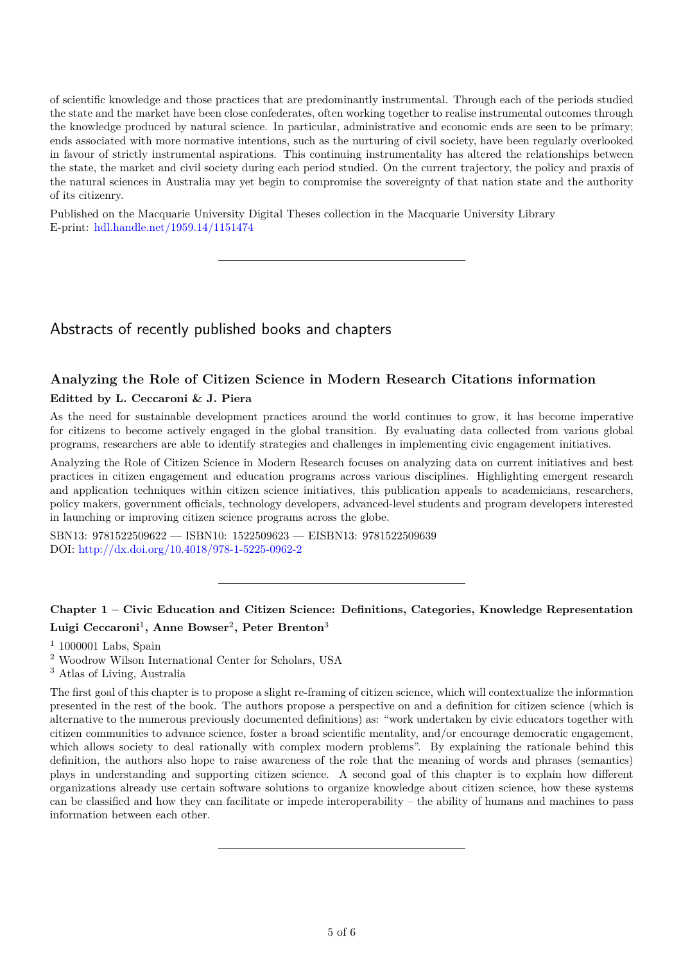of scientific knowledge and those practices that are predominantly instrumental. Through each of the periods studied the state and the market have been close confederates, often working together to realise instrumental outcomes through the knowledge produced by natural science. In particular, administrative and economic ends are seen to be primary; ends associated with more normative intentions, such as the nurturing of civil society, have been regularly overlooked in favour of strictly instrumental aspirations. This continuing instrumentality has altered the relationships between the state, the market and civil society during each period studied. On the current trajectory, the policy and praxis of the natural sciences in Australia may yet begin to compromise the sovereignty of that nation state and the authority of its citizenry.

Published on the Macquarie University Digital Theses collection in the Macquarie University Library E-print: [hdl.handle.net/1959.14/1151474](http://hdl.handle.net/1959.14/1151474)

# <span id="page-4-0"></span>Abstracts of recently published books and chapters

### **Analyzing the Role of Citizen Science in Modern Research Citations information Editted by L. Ceccaroni & J. Piera**

As the need for sustainable development practices around the world continues to grow, it has become imperative for citizens to become actively engaged in the global transition. By evaluating data collected from various global programs, researchers are able to identify strategies and challenges in implementing civic engagement initiatives.

Analyzing the Role of Citizen Science in Modern Research focuses on analyzing data on current initiatives and best practices in citizen engagement and education programs across various disciplines. Highlighting emergent research and application techniques within citizen science initiatives, this publication appeals to academicians, researchers, policy makers, government officials, technology developers, advanced-level students and program developers interested in launching or improving citizen science programs across the globe.

SBN13: 9781522509622 — ISBN10: 1522509623 — EISBN13: 9781522509639 DOI: <http://dx.doi.org/10.4018/978-1-5225-0962-2>

### **Chapter 1 – Civic Education and Citizen Science: Definitions, Categories, Knowledge Representation Luigi Ceccaroni**<sup>1</sup> **, Anne Bowser**<sup>2</sup> **, Peter Brenton**<sup>3</sup>

 $1$  1000001 Labs, Spain

<sup>3</sup> Atlas of Living, Australia

The first goal of this chapter is to propose a slight re-framing of citizen science, which will contextualize the information presented in the rest of the book. The authors propose a perspective on and a definition for citizen science (which is alternative to the numerous previously documented definitions) as: "work undertaken by civic educators together with citizen communities to advance science, foster a broad scientific mentality, and/or encourage democratic engagement, which allows society to deal rationally with complex modern problems". By explaining the rationale behind this definition, the authors also hope to raise awareness of the role that the meaning of words and phrases (semantics) plays in understanding and supporting citizen science. A second goal of this chapter is to explain how different organizations already use certain software solutions to organize knowledge about citizen science, how these systems can be classified and how they can facilitate or impede interoperability – the ability of humans and machines to pass information between each other.

<sup>2</sup> Woodrow Wilson International Center for Scholars, USA